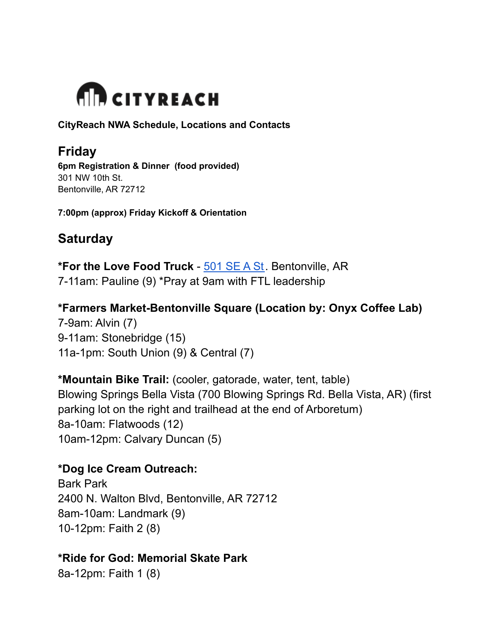

**CityReach NWA Schedule, Locations and Contacts**

# **Friday**

**6pm Registration & Dinner (food provided)** 301 NW 10th St. Bentonville, AR 72712

**7:00pm (approx) Friday Kickoff & Orientation**

# **Saturday**

**\*For the Love Food Truck** - [501](https://www.google.com/maps/place/501+SE+A+St,+Bentonville,+AR+72712/@36.3671992,-94.2095198,17z/data=!3m1!4b1!4m5!3m4!1s0x87c91a9c1d61d01d:0x3808b740a438715c!8m2!3d36.3671992!4d-94.2073258) SE A St. Bentonville, AR 7-11am: Pauline (9) \*Pray at 9am with FTL leadership

**\*Farmers Market-Bentonville Square (Location by: Onyx Coffee Lab)** 7-9am: Alvin (7) 9-11am: Stonebridge (15) 11a-1pm: South Union (9) & Central (7)

**\*Mountain Bike Trail:** (cooler, gatorade, water, tent, table) Blowing Springs Bella Vista (700 Blowing Springs Rd. Bella Vista, AR) (first parking lot on the right and trailhead at the end of Arboretum) 8a-10am: Flatwoods (12) 10am-12pm: Calvary Duncan (5)

**\*Dog Ice Cream Outreach:** Bark Park 2400 N. Walton Blvd, Bentonville, AR 72712 8am-10am: Landmark (9) 10-12pm: Faith 2 (8)

### **\*Ride for God: Memorial Skate Park**

8a-12pm: Faith 1 (8)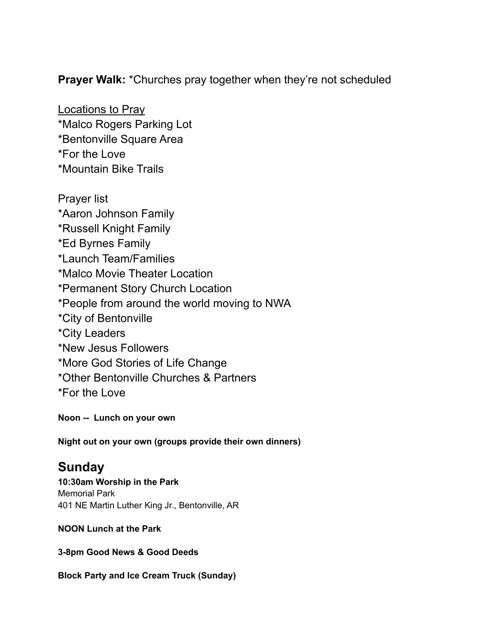**Prayer Walk:** \*Churches pray together when they're not scheduled

Locations to Pray \*Malco Rogers Parking Lot \*Bentonville Square Area \*For the Love \*Mountain Bike Trails

Prayer list \*Aaron Johnson Family \*Russell Knight Family \*Ed Byrnes Family \*Launch Team/Families \*Malco Movie Theater Location \*Permanent Story Church Location \*People from around the world moving to NWA \*City of Bentonville \*City Leaders \*New Jesus Followers \*More God Stories of Life Change \*Other Bentonville Churches & Partners \*For the Love

**Noon -- Lunch on your own**

**Night out on your own (groups provide their own dinners)**

## **Sunday**

**10:30am Worship in the Park** Memorial Park 401 NE Martin Luther King Jr., Bentonville, AR

#### **NOON Lunch at the Park**

**3-8pm Good News & Good Deeds**

**Block Party and Ice Cream Truck (Sunday)**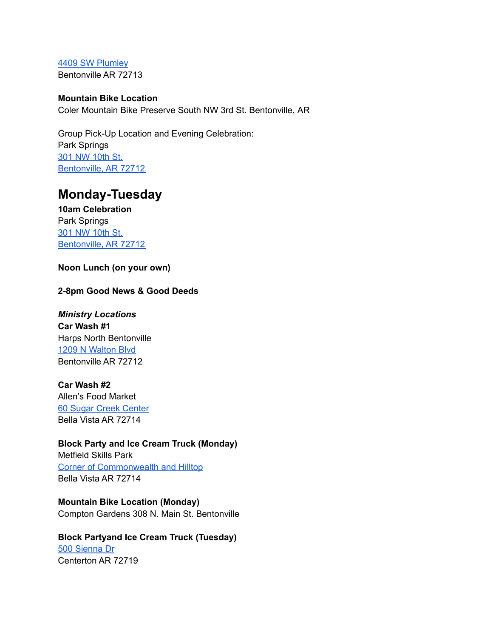4409 SW [Plumley](https://www.google.com/maps/place/4400+SW+Plumley+Ave,+Bentonville,+AR+72713/@36.3398292,-94.2642507,17z/data=!3m1!4b1!4m5!3m4!1s0x87c90f97cfa54339:0xe0e75bb7f28ddd12!8m2!3d36.3398292!4d-94.262062) Bentonville AR 72713

#### **Mountain Bike Location** Coler Mountain Bike Preserve South NW 3rd St. Bentonville, AR

Group Pick-Up Location and Evening Celebration: Park Springs 301 NW [10th](https://www.google.com/maps/place/301+NW+10th+St,+Bentonville,+AR+72712/@36.3837504,-94.2136012,17z/data=!3m1!4b1!4m5!3m4!1s0x87c91a9535d54b7d:0x9f88de2fe686c3e1!8m2!3d36.3837504!4d-94.2114125) St. [Bentonville,](https://www.google.com/maps/place/301+NW+10th+St,+Bentonville,+AR+72712/@36.3837504,-94.2136012,17z/data=!3m1!4b1!4m5!3m4!1s0x87c91a9535d54b7d:0x9f88de2fe686c3e1!8m2!3d36.3837504!4d-94.2114125) AR 72712

## **Monday-Tuesday**

**10am Celebration** Park Springs 301 NW [10th](https://www.google.com/maps/place/301+NW+10th+St,+Bentonville,+AR+72712/@36.3837504,-94.2136012,17z/data=!3m1!4b1!4m5!3m4!1s0x87c91a9535d54b7d:0x9f88de2fe686c3e1!8m2!3d36.3837504!4d-94.2114125) St. [Bentonville,](https://www.google.com/maps/place/301+NW+10th+St,+Bentonville,+AR+72712/@36.3837504,-94.2136012,17z/data=!3m1!4b1!4m5!3m4!1s0x87c91a9535d54b7d:0x9f88de2fe686c3e1!8m2!3d36.3837504!4d-94.2114125) AR 72712

#### **Noon Lunch (on your own)**

#### **2-8pm Good News & Good Deeds**

*Ministry Locations* **Car Wash #1** Harps North Bentonville 1209 N [Walton](https://www.google.com/maps/place/Harps+Food+Stores/@36.3869344,-94.2246775,17z/data=!3m1!4b1!4m5!3m4!1s0x87c91a99e744965d:0x662d34589128fc80!8m2!3d36.3868816!4d-94.222172) Blvd Bentonville AR 72712

#### **Car Wash #2**

Allen's Food Market 60 Sugar Creek [Center](https://www.google.com/maps/place/Allen) Bella Vista AR 72714

#### **Block Party and Ice Cream Truck (Monday)**

Metfield Skills Park Corner of [Commonwealth](https://www.google.com/maps/place/Metfield+Skills+Park/@36.4556447,-94.1993023,17z/data=!4m12!1m6!3m5!1s0x87c91c86a5d32153:0xb0f56255d695f527!2sMetfield+Skills+Park!8m2!3d36.4556447!4d-94.1971136!3m4!1s0x87c91c86a5d32153:0xb0f56255d695f527!8m2!3d36.4556447!4d-94.1971136) and Hilltop Bella Vista AR 72714

**Mountain Bike Location (Monday)** Compton Gardens 308 N. Main St. Bentonville

#### **Block Partyand Ice Cream Truck (Tuesday)** 500 [Sienna](https://www.google.com/maps/place/500+Sienna+Dr,+Centerton,+AR+72719/@36.3637093,-94.2815619,17z/data=!3m1!4b1!4m5!3m4!1s0x87c90581337cdc0f:0xd1ccb278b2d58404!8m2!3d36.3637093!4d-94.2793732) Dr Centerton AR 72719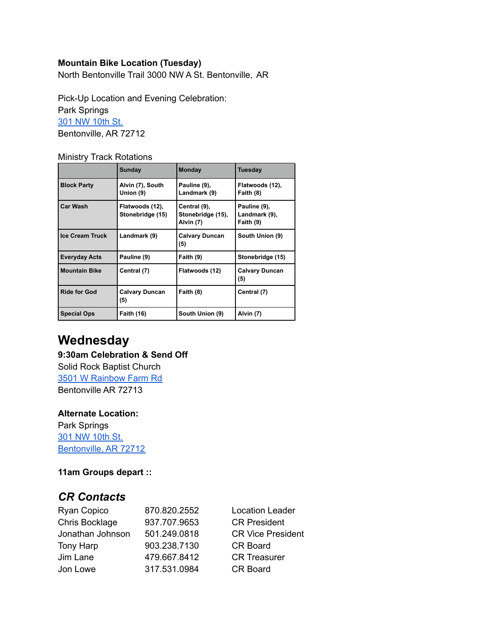#### **Mountain Bike Location (Tuesday)**

North Bentonville Trail 3000 NW A St. Bentonville, AR

Pick-Up Location and Evening Celebration: Park Springs 301 NW [10th](https://www.google.com/maps/place/301+NW+10th+St,+Bentonville,+AR+72712/@36.3837504,-94.2136012,17z/data=!3m1!4b1!4m5!3m4!1s0x87c91a9535d54b7d:0x9f88de2fe686c3e1!8m2!3d36.3837504!4d-94.2114125) St. Bentonville, AR 72712

Ministry Track Rotations

|                        | Sunday                              | <b>Monday</b>                                  | <b>Tuesday</b>                             |
|------------------------|-------------------------------------|------------------------------------------------|--------------------------------------------|
| <b>Block Party</b>     | Alvin (7), South<br>Union (9)       | Pauline (9),<br>Landmark (9)                   | Flatwoods (12),<br>Faith (8)               |
| <b>Car Wash</b>        | Flatwoods (12),<br>Stonebridge (15) | Central (9),<br>Stonebridge (15),<br>Alvin (7) | Pauline (9),<br>Landmark (9),<br>Faith (9) |
| <b>Ice Cream Truck</b> | Landmark (9)                        | <b>Calvary Duncan</b><br>(5)                   | South Union (9)                            |
| Everyday Acts          | Pauline (9)                         | Faith (9)                                      | Stonebridge (15)                           |
| <b>Mountain Bike</b>   | Central (7)                         | Flatwoods (12)                                 | <b>Calvary Duncan</b><br>(5)               |
| <b>Ride for God</b>    | <b>Calvary Duncan</b><br>(5)        | Faith (8)                                      | Central (7)                                |
| <b>Special Ops</b>     | <b>Faith (16)</b>                   | South Union (9)                                | Alvin (7)                                  |

## **Wednesday**

#### **9:30am Celebration & Send Off** Solid Rock Baptist Church

3501 W [Rainbow](https://www.google.com/maps/place/Solid+Rock+Baptist+Church/@36.328408,-94.2522088,15z/data=!4m2!3m1!1s0x0:0xc2e50d10f9a49766?sa=X&ved=2ahUKEwity7Xtmt7xAhVUAZ0JHQ6KCiEQ_BIwD3oECEAQBQ) Farm Rd Bentonville AR 72713

### **Alternate Location:**

Park Springs 301 NW [10th](https://www.google.com/maps/place/301+NW+10th+St,+Bentonville,+AR+72712/@36.3837504,-94.2136012,17z/data=!3m1!4b1!4m5!3m4!1s0x87c91a9535d54b7d:0x9f88de2fe686c3e1!8m2!3d36.3837504!4d-94.2114125) St. [Bentonville,](https://www.google.com/maps/place/301+NW+10th+St,+Bentonville,+AR+72712/@36.3837504,-94.2136012,17z/data=!3m1!4b1!4m5!3m4!1s0x87c91a9535d54b7d:0x9f88de2fe686c3e1!8m2!3d36.3837504!4d-94.2114125) AR 72712

### **11am Groups depart ::**

### *CR Contacts*

| Ryan Copico      | 870.820.2552 | <b>Location Leader</b>   |
|------------------|--------------|--------------------------|
| Chris Bocklage   | 937.707.9653 | <b>CR President</b>      |
| Jonathan Johnson | 501.249.0818 | <b>CR Vice President</b> |
| Tony Harp        | 903.238.7130 | <b>CR Board</b>          |
| Jim Lane         | 479.667.8412 | <b>CR Treasurer</b>      |
| Jon Lowe         | 317.531.0984 | <b>CR Board</b>          |